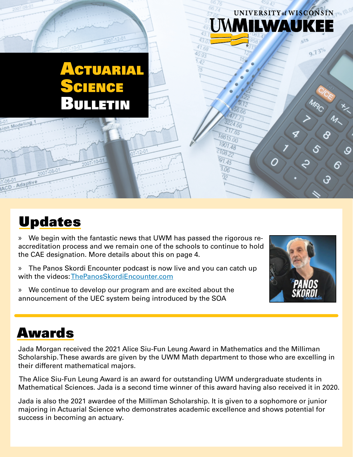## Actuarial Science Bulletin

### Updates

Adapti

» We begin with the fantastic news that UWM has passed the rigorous reaccreditation process and we remain one of the schools to continue to hold the CAE designation. More details about this on page 4.

» The Panos Skordi Encounter podcast is now live and you can catch up with the videos: ThePanosSkordiEncounter.com

» We continue to develop our program and are excited about the announcement of the UEC system being introduced by the SOA



UNIVERSITY of WISCONSIN

9.73%

ડ

Q,

**AWAU** 

 $47.68$ 

217.65 18615.00  $1901.48$ 

TOB<sub>22</sub>  $91.45$  $06$ 

 $40.93$  $2.42$ 

### Awards

Jada Morgan received the 2021 Alice Siu-Fun Leung Award in Mathematics and the Milliman Scholarship. These awards are given by the UWM Math department to those who are excelling in their different mathematical majors.

 The Alice Siu-Fun Leung Award is an award for outstanding UWM undergraduate students in Mathematical Sciences. Jada is a second time winner of this award having also received it in 2020.

Jada is also the 2021 awardee of the Milliman Scholarship. It is given to a sophomore or junior majoring in Actuarial Science who demonstrates academic excellence and shows potential for success in becoming an actuary.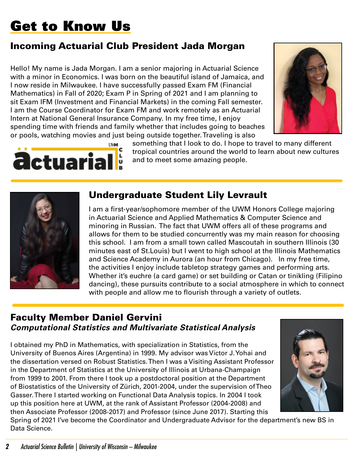# Get to Know Us

### Incoming Actuarial Club President Jada Morgan

Hello! My name is Jada Morgan. I am a senior majoring in Actuarial Science with a minor in Economics. I was born on the beautiful island of Jamaica, and I now reside in Milwaukee. I have successfully passed Exam FM (Financial Mathematics) in Fall of 2020; Exam P in Spring of 2021 and I am planning to sit Exam IFM (Investment and Financial Markets) in the coming Fall semester. I am the Course Coordinator for Exam FM and work remotely as an Actuarial Intern at National General Insurance Company. In my free time, I enjoy spending time with friends and family whether that includes going to beaches or pools, watching movies and just being outside together. Traveling is also





something that I look to do. I hope to travel to many different tropical countries around the world to learn about new cultures and to meet some amazing people.



### Undergraduate Student Lily Levrault

I am a first-year/sophomore member of the UWM Honors College majoring in Actuarial Science and Applied Mathematics & Computer Science and minoring in Russian. The fact that UWM offers all of these programs and allows for them to be studied concurrently was my main reason for choosing this school. I am from a small town called Mascoutah in southern Illinois (30 minutes east of St.Louis) but I went to high school at the Illinois Mathematics and Science Academy in Aurora (an hour from Chicago). In my free time, the activities I enjoy include tabletop strategy games and performing arts. Whether it's euchre (a card game) or set building or Catan or tinikling (Filipino dancing), these pursuits contribute to a social atmosphere in which to connect with people and allow me to flourish through a variety of outlets.

#### Faculty Member Daniel Gervini *Computational Statistics and Multivariate Statistical Analysis*

I obtained my PhD in Mathematics, with specialization in Statistics, from the University of Buenos Aires (Argentina) in 1999. My advisor was Víctor J. Yohai and the dissertation versed on Robust Statistics. Then I was a Visiting Assistant Professor in the Department of Statistics at the University of Illinois at Urbana-Champaign from 1999 to 2001. From there I took up a postdoctoral position at the Department of Biostatistics of the University of Zürich, 2001-2004, under the supervision of Theo Gasser. There I started working on Functional Data Analysis topics. In 2004 I took up this position here at UWM, at the rank of Assistant Professor (2004-2008) and then Associate Professor (2008-2017) and Professor (since June 2017). Starting this



Spring of 2021 I've become the Coordinator and Undergraduate Advisor for the department's new BS in Data Science.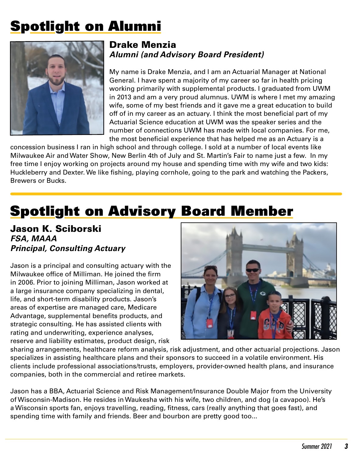# Spotlight on Alumni



#### Drake Menzia *Alumni (and Advisory Board President)*

My name is Drake Menzia, and I am an Actuarial Manager at National General. I have spent a majority of my career so far in health pricing working primarily with supplemental products. I graduated from UWM in 2013 and am a very proud alumnus. UWM is where I met my amazing wife, some of my best friends and it gave me a great education to build off of in my career as an actuary. I think the most beneficial part of my Actuarial Science education at UWM was the speaker series and the number of connections UWM has made with local companies. For me, the most beneficial experience that has helped me as an Actuary is a

concession business I ran in high school and through college. I sold at a number of local events like Milwaukee Air and Water Show, New Berlin 4th of July and St. Martin's Fair to name just a few. In my free time I enjoy working on projects around my house and spending time with my wife and two kids: Huckleberry and Dexter. We like fishing, playing cornhole, going to the park and watching the Packers, Brewers or Bucks.

## Spotlight on Advisory Board Member

Jason K. Sciborski *FSA, MAAA Principal, Consulting Actuary*

Jason is a principal and consulting actuary with the Milwaukee office of Milliman. He joined the firm in 2006. Prior to joining Milliman, Jason worked at a large insurance company specializing in dental, life, and short-term disability products. Jason's areas of expertise are managed care, Medicare Advantage, supplemental benefits products, and strategic consulting. He has assisted clients with rating and underwriting, experience analyses, reserve and liability estimates, product design, risk



sharing arrangements, healthcare reform analysis, risk adjustment, and other actuarial projections. Jason specializes in assisting healthcare plans and their sponsors to succeed in a volatile environment. His clients include professional associations/trusts, employers, provider-owned health plans, and insurance companies, both in the commercial and retiree markets.

Jason has a BBA, Actuarial Science and Risk Management/Insurance Double Major from the University of Wisconsin-Madison. He resides in Waukesha with his wife, two children, and dog (a cavapoo). He's a Wisconsin sports fan, enjoys travelling, reading, fitness, cars (really anything that goes fast), and spending time with family and friends. Beer and bourbon are pretty good too...